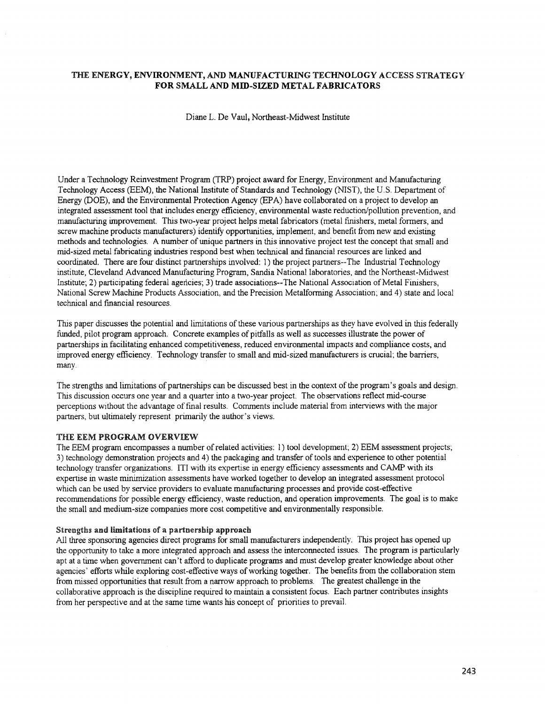## THE ENERGY, ENVIRONMENT, AND MANUFACTURING TECHNOLOGY ACCESS STRATEGY FOR SMALL AND MID-SIZED METAL FABRICATORS

Diane L. De Vaul, Northeast-Midwest Institute

Under a Technology Reinvestment Program (TRP) project award for Energy, Environment and Manufacturing Technology Access (EEM), the National Institute of Standards and Technology (NIST), the U.s. Department of Energy (DOE), and the Environmental Protection Agency (EPA) have collaborated on a project to develop an integrated assessment tool that includes energy efficiency, environmental waste reduction/pollution prevention, and manufacturing improvement. This two-year project helps metal fabricators (metal finishers, metal formers, and screw machine products manufacturers) identify opportunities, implement, and benefit from new and existing methods and technologies. A number of unique partners in this innovative project test the concept that small and mid-sized metal fabricating industries respond best when technical and fmancial resources are linked and coordinated. There are four distinct partnerships involved: 1) the project partners--The Industrial Technology institute, Cleveland Advanced Manufacturing Program, Sandia National laboratories, and the Northeast-Midwest Institute, 2) participating federal agencies; 3) trade associations--The National Association of Metal Finishers, National Screw Machine Products Association, and the Precision Metalforming Association; and 4) state and local technical and fmancial resources.

This paper discusses the potential and limitations of these various partnerships as they have evolved in this federally funded, pilot program approach. Concrete examples of pitfalls as well as successes illustrate the power of partnerships in facilitating enhanced competitiveness, reduced environmental impacts and compliance costs, and improved energy efficiency. Technology transfer to small and mid-sized manufacturers is crucial; the barriers, many.

The strengths and limitations of partnerships can be discussed best in the context ofthe program's goals and design. This discussion occurs one year and a quarter into a two-year project. The observations reflect mid-course perceptions without the advantage offmal results. Comments include material from interviews with the major partners, but ultimately represent primarily the author's views.

#### THE EEM PROGRAM OVERVIEW

The EEM program encompasses a number of related activities:  $1)$  tool development; 2) EEM assessment projects; 3) technology demonstration projects and 4) the packaging and transfer oftools and experience to other potential technology transfer organizations. ITI with its expertise in energy efficiency assessments and CAMP with its expertise in waste minimization assessments have worked together to develop an integrated assessment protocol which can be used by service providers to evaluate manufacturing processes and provide cost-effective recommendations for possible energy efficiency, waste reduction, and operation improvements. The goal is to make the small and medium-size companies more cost competitive and environmentally responsible.

#### Strengtbs and limitations of a partnersbip approach

All three sponsoring agencies direct programs for small manufacturers independently. This project has opened up the opportunity to take a more integrated approach and assess the interconnected issues. The program is particularly apt at a time when government can't afford to duplicate programs and must develop greater knowledge about other agencies' efforts while exploring cost-effective ways ofworking together. The benefits from the collaboration stem from missed opportunities that result from a narrow approach to problems. The greatest challenge in the collaborative approach is the discipline required to maintain a consistent focus. Each partner contributes insights from her perspective and at the same time wants his concept of priorities to prevail.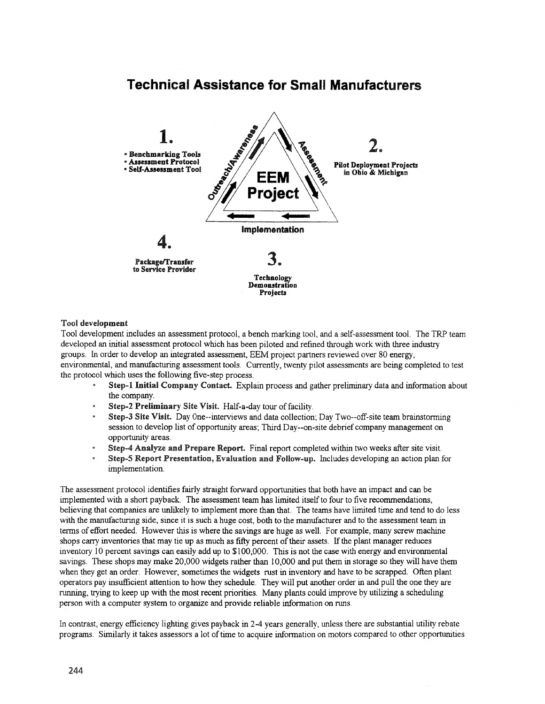# Technical Assistance for Small Manufacturers



### Tool development

Tool development includes an assessment protocol, a bench marking tool, and a self-assessment tool. The TRP team developed an initial assessment protocol which has been piloted and refined through work with three industry groups. In order to develop an integrated assessment, EEM project partners reviewed over 80 energy, environmental, and manufacturing assessment tools. Currently, twenty pilot assessments are being completed to test the protocol which uses the following five-step process.

- Step-1 Initial Company Contact. Explain process and gather preliminary data and information about the company.
- Step-2 Preliminary Site Visit. Half-a-day tour of facility.
- Step-3 Site Visit. Day One--interviews and data collection; Day Two--off-site team brainstorming session to develop list of opportunity areas. Third Day--on-site debrief company management on opportunity areas.
- Step-4 Analyze and Prepare Report. Final report completed within two weeks after site visit. ø
- Step-5 Report Presentation, Evaluation and Follow-up. Includes developing an action plan for implementation.

The assessment protocol identifies fairly straight forward opportunities that both have an impact and can be implemented with a short payback. The assessment team has limited itselfto four to five recommendations, believing that companies are unlikely to implement more than that. The teams have limited time and tend to do less with the manufacturing side, since it is such a huge cost, both to the manufacturer and to the assessment team in terms of effort needed. However this is where the savings are huge as well. For example, many screw machine shops carry inventories that may tie up as much as fifty percent of their assets. If the plant manager reduces inventory 10 percent savings can easily add up to \$100,000. This is not the case with energy and environmental savings. These shops may make 20,000 widgets rather than 10,000 and put them in storage so they will have them when they get an order. However, sometimes the widgets rust in inventory and have to be scrapped. Often plant operators pay insufficient attention to how they schedule. They will put another order in and pull the one they are running, trying to keep up with the most recent priorities. Many plants could improve by utilizing a scheduling person with a computer system to organize and provide reliable information on runs.

In contrast, energy efficiency lighting gives payback in 2-4 years generally, unless there are substantial utility rebate programs. Similarly it takes assessors a lot oftime to acquire information on motors compared to other opportunities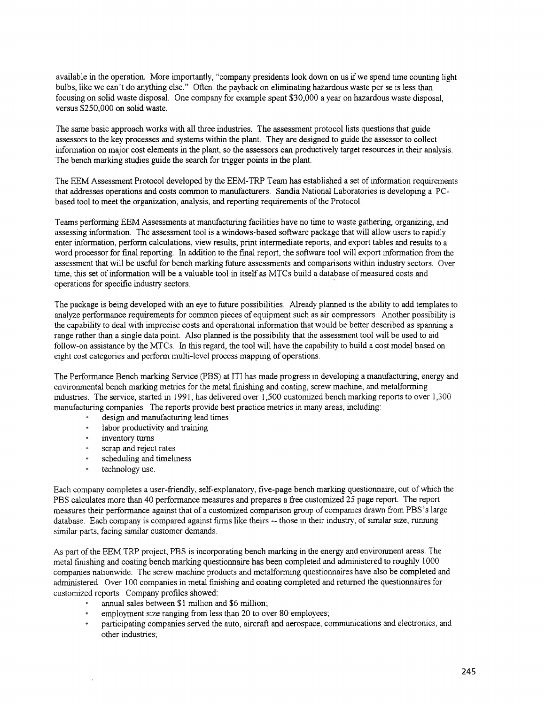available in the operation. More importantly, "company presidents look down on us if we spend time counting light bulbs, like we can't do anything else." Often the payback on eliminating hazardous waste per se is less than focusing on solid waste disposal. One company for example spent \$30,000 a year on hazardous waste disposal, versus \$250,000 on solid waste.

The same basic approach works with all three industries. The assessment protocol lists questions that guide assessors to the key processes and systems within the plant. They are designed to guide the assessor to collect information on major cost elements in the plant, so the assessors can productively target resources in their analysis. The bench marking studies guide the search for trigger points in the plant.

The EEM Assessment Protocol developed by the EEM-TRP Team has established a set of information requirements that addresses operations and costs common to manufacturers. Sandia National Laboratories is developing a PCbased tool to meet the organization, analysis, and reperting requirements ofthe Protocol.

Teams perfonning EEM Assessments at manufacturing facilities have no time to waste gathering, organizing, and assessing information. The assessment tool is a windows-based software package that will allow users to rapidly enter information, perform calculations, view results, print intermediate reports, and export tables and results to a word processor for fmal reporting. In addition to the fmal report, the software tool will export information from the assessment that will be useful for bench marking future assessments and comparisons within industry sectors. Over time, this set of information will be a valuable tool in itself as MTCs build a database of measured costs and operations for specific industry sectors. .

The package is being developed with an eye to future possibilities. Already planned is the ability to add templates to analyze performance requirements for common pieces of equipment such as air compressors. Another possibility is the capability to deal with imprecise costs and operational information that would be better described as spanning a range rather than a single data point. Also planned is the possibility that the assessment tool will be used to aid follow-on assistance by the MTCs. In this regard, the tool will have the capability to build a cost model based on eight cost categories and perform multi-level process mapping of operations.

The Performance Bench marking Service (PBS) at ITI has made progress in developing a manufacturing, energy and environmental bench marking metrics for the metal fmishing and coating, screw machine, and metalfonning industries. The service, started in 1991 , has delivered over 1,500 customized bench marking reports to over 1,300 manufacturing companies. The reports provide best practice metrics in many areas, including:

- design and manufacturing lead times
- labor productivity and training
- inventory turns
- scrap and reject rates
- scheduling and timeliness
- technology use.

Each company completes a user-friendly, self-explanatory, five-page bench marking questionnaire, out of which the PBS calculates more than 40 performance measures and prepares a free customized 25 page report. The report measures their performance against that of a customized comparison group of companies drawn from PBS's large database. Each company is compared against firms like theirs -- those in their industry, of similar size, running similar parts, facing similar customer demands.

As part of the EEM TRP project, PBS is incorporating bench marking in the energy and environment areas. The metal fmishing and coating bench marking questionnaire has been completed and administered to roughly 1000 companies nationwide. The screw machine products and metalforming questionnaires have also be completed and administered. Over 100 companies in metal fmishing and coating completed and returned the questionnaires for customized reports. Company profiles showed:

- annual sales between \$1 million and \$6 million;
- employment size ranging from less than 20 to over 80 employees:
- participating companies served the auto, aircraft and aerospace, communications and electronics, and other industries: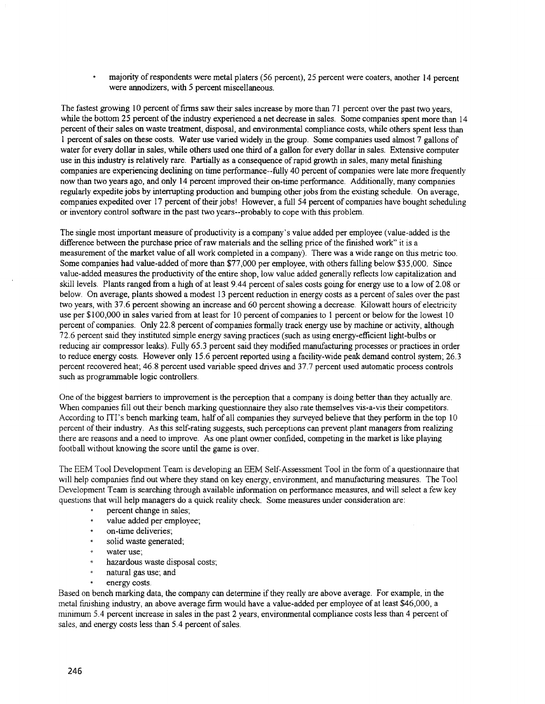majority of respondents were metal platers (56 percent), 25 percent were coaters, another 14 percent were annodizers, with 5 percent miscellaneous.

The fastest growing 10 percent of firms saw their sales increase by more than 71 percent over the past two years, while the bottom 25 percent of the industry experienced a net decrease in sales. Some companies spent more than 14 percent oftheir sales on waste treatment, disposal, and environmental compliance costs, while others spent less than 1 percent ofsales on these costs. Water use varied widely in the group. Some companies used almost 7 gallons of water for every dollar in sales, while others used one third of a gallon for every dollar in sales. Extensive computer use in this industry is relatively rare. Partially as a consequence of rapid growth in sales, many metal finishing companies are experiencing declining on time performance--fully 40 percent of companies were late more frequently now than two years ago, and only 14 percent improved their on-time performance. Additionally, many companies regularly expedite jobs by intenupting production and bumping other jobs from the existing schedule. On average, companies expedited over 17 percent of their jobs! However, a full 54 percent of companies have bought scheduling or inventory control software in the past two years--probably to cope with this problem.

The single most important measure of productivity is a company's value added per employee (value-added is the difference between the purchase price of raw materials and the selling price of the finished work" it is a measurement of the market value of all work completed in a company). There was a wide range on this metric too. Some companies had value-added of more than \$77,000 per employee, with others falling below \$35,000. Since value-added measures the productivity of the entire shop, low value added generally reflects low capitalization and skill levels. Plants ranged from a high of at least 9.44 percent of sales costs going for energy use to a low of 2.08 or below. On average, plants showed a modest 13 percent reduction in energy costs as a percent ofsales over the past two years, with 37.6 percent showing an increase and 60 percent showing a decrease. Kilowatt hours of electricity use per \$100,000 in sales varied from at least for 10 percent of companies to 1 percent or below for the lowest 10 percent of companies. *Only* 22.8 percent of companies formally track energy use by machine or activity, although 72.6 percent said they instituted simple energy saving practices (such as using energy-efficient light-bulbs or reducing air compressor leaks). Fully 65.3 percent said they modified manufacturing processes or practices in order to reduce energy costs. However only 15.6 percent reported using a facility-wide peak demand control system; 26.3 percent recovered heat; 46.8 percent used variable speed drives and 37.7 percent used automatic process controls such as programmable logic controllers.

One ofthe biggest barriers to improvement is the perception that a company is doing better than they actually are. When companies fill out their bench marking questionnaire they also rate themselves vis-a-vis their competitors. According to ITI's bench marking team, half of all companies they surveyed believe that they perform in the top 10 percent of their industry. As this self-rating suggests, such perceptions can prevent plant managers from realizing there are reasons and a need to improve. As one plant owner confided, competing in the market is like playing football without knowing the score until the game is over.

The EEM Tool Development Team is developing an EEM Self-Assessment Tool in the form of a questionnaire that will help companies fmd out where they stand on key energy, environment, and manufacturing measures. The Tool Development Team is searching through available infonnation on performance measures, and will select a few key questions that will help managers do a quick reality check. Some measures under consideration are:

- percent change in sales;
- value added per employee;
- on-time deliveries;
- solid waste generated;
- water use:
- hazardous waste disposal costs;
- natural gas use; and
- energy costs.

Based on bench marking data, the company can determine ifthey really are above average. For example, in the metal finishing industry, an above average firm would have a value-added per employee of at least \$46,000, a minimum 5.4 percent increase in sales in the past 2 years, environmental compliance costs less than 4 percent of sales, and energy costs less than 5.4 percent of sales.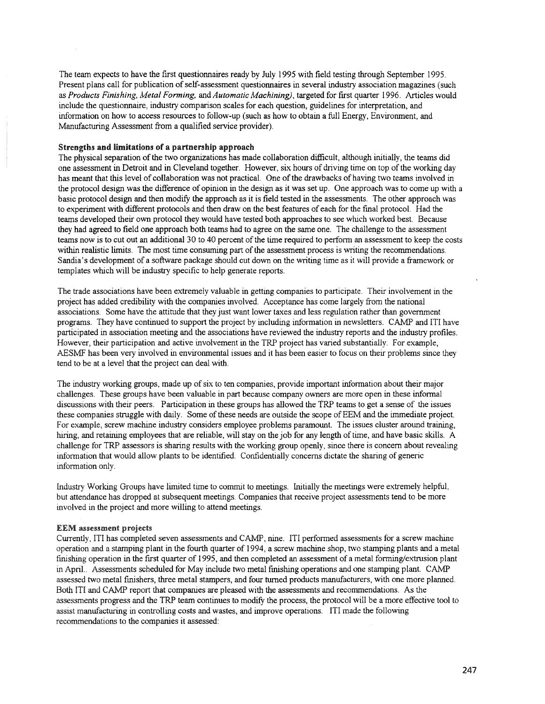The team expects to have the frrst questionnaires ready by July 1995 with field testing through September 1995. Present plans call for publication of self-assessment questionnaires in several industry association magazines (such as *Products Finishing, Metal Forming,* and *Automatic Machining),* targeted for frrst quarter 1996. Articles would include the questionnaire, industry comparison scales for each question, guidelines for interpretation, and information on how to access resources to follow-up (such as how to obtain a full Energy, Environment, and Manufacturing Assessment from a qualified service provider).

#### Strengths and limitations of a partnership approach

The physical separation of the two organizations has made collaboration difficult, although initially, the teams did one assessment in Detroit and in Cleveland together. However, six hours of driving time on top ofthe working day has meant that this level of collaboration was not practical. One of the drawbacks of having two teams involved in the protocol design was the difference of opinion in the design as it was set up. One approach was to come up with a basic protocol design and then modify the approach as it is field tested in the assessments. The other approach was to experiment with different protocols and then draw on the best features of each for the fmal protocol. Had the teams developed their own protocol they would have tested both approaches to see which worked best. Because they had agreed to field one approach both teams had to agree on the same one. The challenge to the assessment teams now is to cut out an additional 30 to 40 percent of the time required to perform an assessment to keep the costs within realistic limits. The most time consuming part of the assessment process is writing the recommendations. Sandia's development of a software package should cut down on the writing time as it will provide a framework or templates which will be industry specific to help generate reports.

The trade associations have been extremely valuable in getting companies to participate. Their involvement in the project has added credibility with the companies involved. Acceptance has come largely from the national associations. Some have the attitude that they just want lower taxes and less regulation rather than government programs. They have continued to support the project by including information in newsletters. CAMP and ITI have participated in association meeting and the associations have reviewed the industry reports and the industry profiles. However, their participation and active involvement in the TRP project has varied substantially. For example, AESMF has been very involved in environmental issues and it has been easier to focus on their problems since they tend to be at a level that the project can deal with.

The industry working groups, made up of six to ten companies, provide important information about their major challenges. These groups have been valuable in part because company owners are more open in these informal discussions with their peers. Participation in these groups has allowed the TRP teams to get a sense of the issues these companies struggle with daily. Some of these needs are outside the scope of EEM and the immediate project. For example, screw machine industry considers employee problems paramount. The issues cluster around training, hiring, and retaining employees that are reliable, will stay on the job for any length oftime, and have basic skills. A challenge for TRP assessors is sharing results with the working group openly, since there is concern about revealing information that would allow plants to be identified. Confidentially concerns dictate the sharing of generic information only.

Industry Working Groups have limited time to commit to meetings. Initially the meetings were extremely helpful, but attendance has dropped at subsequent meetings. Companies that receive project assessments tend to be more involved in the project and more willing to attend meetings.

#### EEM assessment projects

Currently, ITI has completed seven assessments and CAMP, nine. ITI performed assessments for a screw machine operation and a stamping plant in the fourth quarter of 1994, a screw machine shop, t\vo stamping plants and a metal finishing operation in the fIrst quarter of 1995, and then completed an assessment of a metal forming/extrusion plant in April.. Assessments scheduled for May include two metal finishing operations and one stamping plant. CAMP assessed two metal fmishers, three metal stampers, and four turned products manufacturers, with one more planned. Both ITI and CAMP report that companies are pleased with the assessments and recommendations. As the assessments progress and the TRP team continues to modify the process, the protocol \vill be a more effective tool to assist manufacturing in controlling costs and wastes, and improve operations. ITI made the following recommendations to the companies it assessed: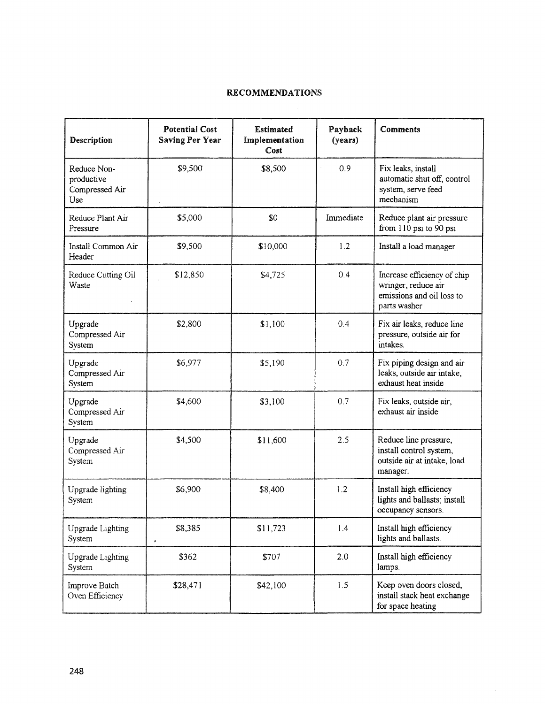# RECOMMENDATIONS

| <b>Description</b>                                 | <b>Potential Cost</b><br><b>Saving Per Year</b> | <b>Estimated</b><br>Implementation<br>Cost | Payback<br>(years) | <b>Comments</b>                                                                                 |
|----------------------------------------------------|-------------------------------------------------|--------------------------------------------|--------------------|-------------------------------------------------------------------------------------------------|
| Reduce Non-<br>productive<br>Compressed Air<br>Use | \$9,500                                         | \$8,500                                    | 0.9                | Fix leaks, install<br>automatic shut off, control<br>system, serve feed<br>mechanism            |
| Reduce Plant Air<br>Pressure                       | \$5,000                                         | \$0                                        | Immediate          | Reduce plant air pressure<br>from 110 psi to 90 psi                                             |
| Install Common Air<br>Header                       | \$9,500                                         | \$10,000                                   | 1.2                | Install a load manager                                                                          |
| Reduce Cutting Oil<br>Waste                        | \$12,850                                        | \$4,725                                    | 0.4                | Increase efficiency of chip<br>wringer, reduce air<br>emissions and oil loss to<br>parts washer |
| Upgrade<br>Compressed Air<br>System                | \$2,800                                         | \$1,100                                    | 0.4                | Fix air leaks, reduce line<br>pressure, outside air for<br>intakes.                             |
| Upgrade<br>Compressed Air<br>System                | \$6,977                                         | \$5,190                                    | 0.7                | Fix piping design and air<br>leaks, outside air intake,<br>exhaust heat inside                  |
| Upgrade<br>Compressed Air<br>System                | \$4,600                                         | \$3,100                                    | 0.7                | Fix leaks, outside air,<br>exhaust air inside                                                   |
| Upgrade<br>Compressed Air<br>System                | \$4,500                                         | \$11,600                                   | 2.5                | Reduce line pressure,<br>install control system,<br>outside air at intake, load<br>manager.     |
| Upgrade lighting<br>System                         | \$6,900                                         | \$8,400                                    | 1.2                | Install high efficiency<br>lights and ballasts; install<br>occupancy sensors.                   |
| Upgrade Lighting<br>System                         | \$8,385<br>ş                                    | \$11,723                                   | 1.4                | Install high efficiency<br>lights and ballasts.                                                 |
| <b>Upgrade Lighting</b><br>System                  | \$362                                           | \$707                                      | 2.0                | Install high efficiency<br>lamps.                                                               |
| Improve Batch<br>Oven Efficiency                   | \$28,471                                        | \$42,100                                   | 1.5                | Keep oven doors closed,<br>install stack heat exchange<br>for space heating                     |

 $\hat{\mathcal{A}}$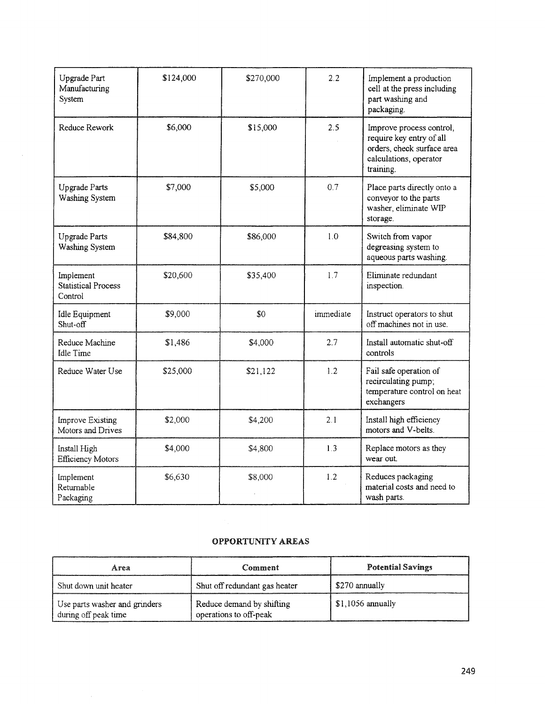| Upgrade Part<br>Manufacturing<br>System            | \$124,000 | \$270,000 | 2.2       | Implement a production<br>cell at the press including<br>part washing and<br>packaging.                                   |
|----------------------------------------------------|-----------|-----------|-----------|---------------------------------------------------------------------------------------------------------------------------|
| Reduce Rework                                      | \$6,000   | \$15,000  | 2.5       | Improve process control,<br>require key entry of all<br>orders, check surface area<br>calculations, operator<br>training. |
| <b>Upgrade Parts</b><br>Washing System             | \$7,000   | \$5,000   | 0.7       | Place parts directly onto a<br>conveyor to the parts<br>washer, eliminate WIP<br>storage.                                 |
| <b>Upgrade Parts</b><br>Washing System             | \$84,800  | \$86,000  | 1.0       | Switch from vapor<br>degreasing system to<br>aqueous parts washing.                                                       |
| Implement<br><b>Statistical Process</b><br>Control | \$20,600  | \$35,400  | 1.7       | Eliminate redundant<br>inspection.                                                                                        |
| Idle Equipment<br>Shut-off                         | \$9,000   | \$0       | immediate | Instruct operators to shut<br>off machines not in use.                                                                    |
| Reduce Machine<br><b>Idle Time</b>                 | \$1,486   | \$4,000   | 2.7       | Install automatic shut-off<br>controls                                                                                    |
| Reduce Water Use                                   | \$25,000  | \$21,122  | 1.2       | Fail safe operation of<br>recirculating pump,<br>temperature control on heat<br>exchangers                                |
| <b>Improve Existing</b><br>Motors and Drives       | \$2,000   | \$4,200   | 2.1       | Install high efficiency<br>motors and V-belts.                                                                            |
| Install High<br><b>Efficiency Motors</b>           | \$4,000   | \$4,800   | 1.3       | Replace motors as they<br>wear out.                                                                                       |
| Implement<br>Returnable<br>Packaging               | \$6,630   | \$8,000   | 1.2       | Reduces packaging<br>material costs and need to<br>wash parts.                                                            |

## OPPORTUNITY AREAS

| Area                                                  | Comment                                             | <b>Potential Savings</b> |
|-------------------------------------------------------|-----------------------------------------------------|--------------------------|
| Shut down unit heater                                 | Shut off redundant gas heater                       | \$270 annually           |
| Use parts washer and grinders<br>during off peak time | Reduce demand by shifting<br>operations to off-peak | $$1,1056$ annually       |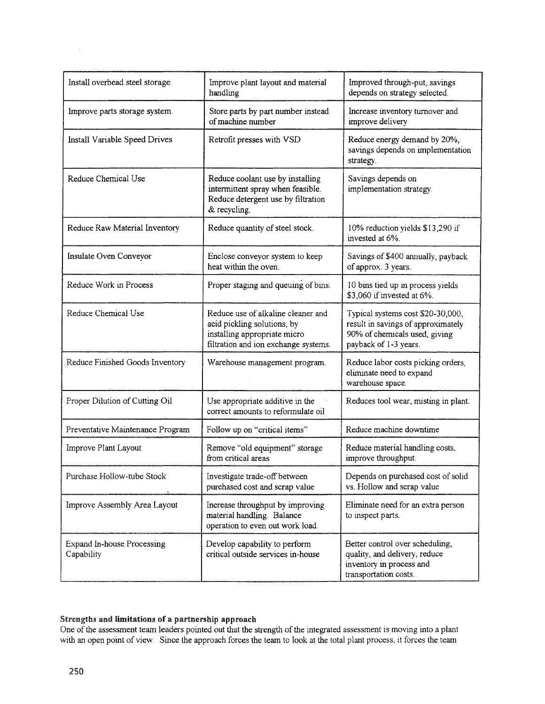| Install overhead steel storage           | Improve plant layout and material<br>handling                                                                                             | Improved through-put, savings<br>depends on strategy selected.                                                                    |
|------------------------------------------|-------------------------------------------------------------------------------------------------------------------------------------------|-----------------------------------------------------------------------------------------------------------------------------------|
| Improve parts storage system.            | Store parts by part number instead<br>of machine number                                                                                   | Increase inventory turnover and<br>improve delivery                                                                               |
| Install Variable Speed Drives            | Retrofit presses with VSD                                                                                                                 | Reduce energy demand by 20%,<br>savings depends on implementation<br>strategy.                                                    |
| Reduce Chemical Use                      | Reduce coolant use by installing<br>intermittent spray when feasible.<br>Reduce detergent use by filtration<br>& recycling.               | Savings depends on<br>implementation strategy.                                                                                    |
| Reduce Raw Material Inventory            | Reduce quantity of steel stock.                                                                                                           | 10% reduction yields \$13,290 if<br>invested at 6%.                                                                               |
| Insulate Oven Conveyor                   | Enclose conveyor system to keep<br>heat within the oven.                                                                                  | Savings of \$400 annually, payback<br>of approx. 3 years.                                                                         |
| Reduce Work in Process                   | Proper staging and queuing of bins.                                                                                                       | 10 bins tied up in process yields<br>\$3,060 if invested at 6%.                                                                   |
| Reduce Chemical Use                      | Reduce use of alkaline cleaner and<br>acid pickling solutions, by<br>installing appropriate micro<br>filtration and ion exchange systems. | Typical systems cost \$20-30,000,<br>result in savings of approximately<br>90% of chemicals used, giving<br>payback of 1-3 years. |
| Reduce Finished Goods Inventory          | Warehouse management program.                                                                                                             | Reduce labor costs picking orders,<br>eliminate need to expand<br>warehouse space.                                                |
| Proper Dilution of Cutting Oil           | Use appropriate additive in the<br>correct amounts to reformulate oil                                                                     | Reduces tool wear, misting in plant.                                                                                              |
| Preventative Maintenance Program         | Follow up on "critical items"                                                                                                             | Reduce machine downtime                                                                                                           |
| Improve Plant Layout                     | Remove "old equipment" storage<br>from critical areas                                                                                     | Reduce material handling costs,<br>improve throughput.                                                                            |
| Purchase Hollow-tube Stock               | Investigate trade-off between<br>purchased cost and scrap value                                                                           | Depends on purchased cost of solid<br>vs. Hollow and scrap value                                                                  |
| Improve Assembly Area Layout             | Increase throughput by improving<br>material handling. Balance<br>operation to even out work load.                                        | Eliminate need for an extra person<br>to inspect parts.                                                                           |
| Expand In-house Processing<br>Capability | Develop capability to perform<br>critical outside services in-house                                                                       | Better control over scheduling,<br>quality, and delivery, reduce<br>inventory in process and<br>transportation costs.             |

## Strengths and limitations of a partnership approacb

One of the assessment team leaders pointed out that the strength of the integrated assessment is moving into a plant with an open point of view. Since the approach forces the team to look at the total plant process, it forces the team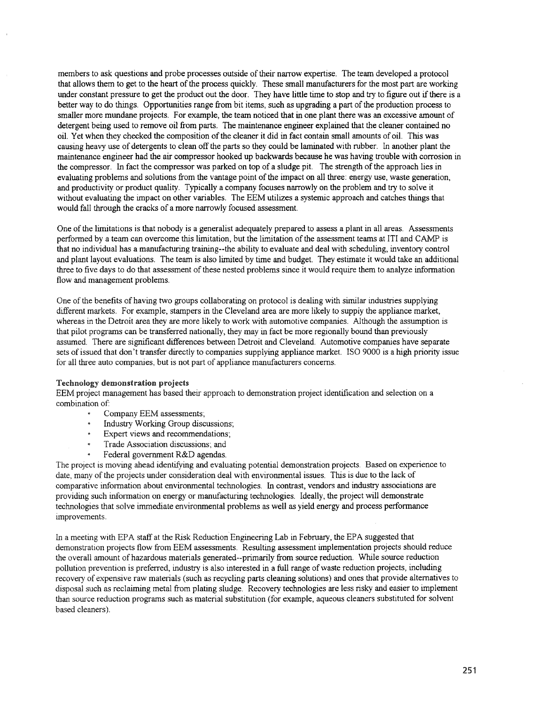members to ask questions and probe processes outside of their narrow expertise. The team developed a protocol that allows them to get to the heart of the process quickly. These small manufacturers for the most part are working under constant pressure to get the product out the door. They have little time to stop and try to figure out ifthere is a better way to do things. Opportunities range from bit items, such as upgrading a part of the production process to smaller more mundane projects. For example, the team noticed that in one plant there was an excessive amount of detergent being used to remove oil from parts. The maintenance engineer explained that the cleaner contained no oil. Yet when they checked the composition ofthe cleaner it did in fact contain small amounts of oil. This was causing heavy use of detergents to clean offthe parts so they could be laminated with rubber. In another plant the maintenance engineer had the air compressor hooked up backwards because he was having trouble with corrosion in the compressor. In fact the compressor was parked on top of a sludge pit. The strength ofthe approach lies in evaluating problems and solutions from the vantage point of the impact on all three: energy use, waste generation, and productivity or product quality. Typically a company focuses narrowly on the problem and try to solve it without evaluating the impact on other variables. The EEM utilizes a systemic approach and catches things that would fall through the cracks of a more narrowly focused assessment.

One of the limitations is that nobody is a generalist adequately prepared to assess a plant in all areas. Assessments performed by a team can overcome this limitation, but the limitation of the assessment teams at ITI and CAMP is that no individual has a manufacturing training--the ability to evaluate and deal with scheduling, inventory control and plant layout evaluations. The team is also limited by time and budget. They estimate it would take an additional three to five days to do that assessment of these nested problems since it would require them to analyze information flow and management problems.

One of the benefits of having two groups collaborating on protocol is dealing with similar industries supplying different markets. For example, stampers in the Cleveland area are more likely to suppiy the appliance market, whereas in the Detroit area they are more likely to work with automotive companies. Although the assumption is that pilot programs can be transferred nationally, they may in fact be more regionally bound than previously assumed. There are significant differences between Detroit and Cleveland. Automotive companies have separate sets of issued that don't transfer directly to companies supplying appliance market. ISO 9000 is a high priority issue for all three auto companies, but is not part of appliance manufacturers concerns.

## Technology demonstration projects

EEM project management has based their approach to demonstration project identification and selection on a combination of:

- $\bullet$ Company EEM assessments;
- Industry Working Group discussions~
- Expert views and recommendations,
- Trade Association discussions; and
- Federal government R&D agendas.

The project is moving ahead identifying and evaluating potential demonstration projects. Based on experience to date, many of the projects under consideration deal with environmental issues. This is due to the lack of comparative information about environmental technologies. In contrast, vendors and industry associations are providing such information on energy or manufacturing technologies. Ideally, the project will demonstrate technologies that solve immediate environmental problems as well as yield energy and process performance improvements.

In a meeting with EPA staff at the Risk Reduction Engineering Lab in February, the EPA suggested that demonstration projects flow from EEM assessments. Resulting assessment implementation projects should reduce the overall amount of hazardous materials generated--primarily from source reduction. While source reduction pollution prevention is preferred, industry is also interested in a full range of waste reduction projects, including recovery of expensive raw materials (such as recycling parts cleaning solutions) and ones that provide alternatives to disposal such as reclaiming metal from plating sludge. Recovery technologies are less risky and easier to implement than source reduction programs such as material substitution (for example, aqueous cleaners substituted for solvent based cleaners).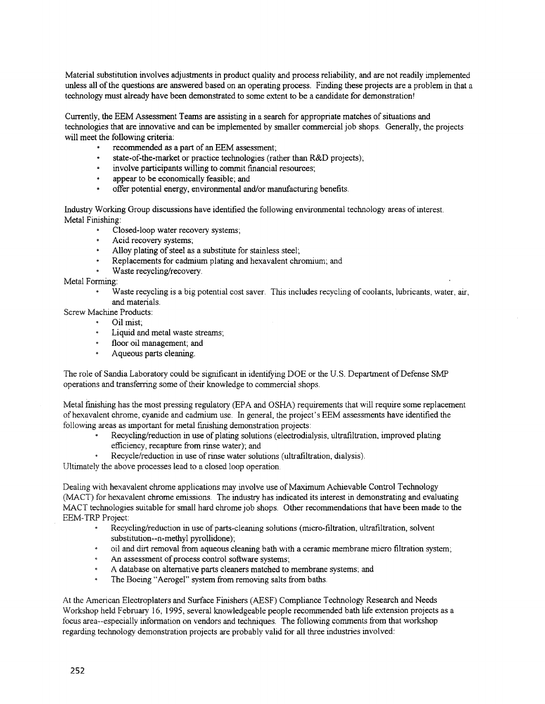Material substitution involves adjustments in product quality and process reliability, and are not readily implemented unless all ofthe questions are answered based on an operating process. Finding these projects are a problem in that a technology must already have been demonstrated to some extent to be a candidate for demonstration'

Currently, the EEM Assessment Teams are assisting in a search for appropriate matches ofsituations and technologies that are innovative and can be implemented by smaller commercial job shops. Generally, the projects' will meet the following criteria:

- recommended as a part of an EEM assessment;
- state-of-the-market or practice technologies (rather than R&D projects):
- involve participants willing to commit financial resources;
- appear to be economically feasible; and
- offer potential energy, environmental and/or manufacturing benefits.

Industry Working Group discussions have identified the following environmental technology areas ofinterest. Metal Finishing:

- $\bullet$ Closed-loop water recovery systems;
- Acid recovery systems;
- Alloy plating of steel as a substitute for stainless steel;
- $\bullet$  . Replacements for cadmium plating and hexavalent chromium: and
- Waste recycling/recovery.

Metal Fonning:

Waste recycling is a big potential cost saver. This includes recycling of coolants, lubricants, water, air,  $\bullet$ and materials.

Screw Machine Products:

- Oil mist:
- $\bullet$ Liquid and metal waste streams;
- floor oil management; and
- Aqueous parts cleaning.

The role of Sandia Laboratory could be significant in identifying DOE or the U.S. Department of Defense SMP operations and transferring some of their knowledge to commercial shops.

Metal finishing has the most pressing regulatory (EPA and OSHA) requirements that will require some replacement of hexavalent chrome, cyanide and cadmium use. In general, the project's EEM assessments have identified the following areas as important for metal finishing demonstration projects:

- Recycling/reduction in use of plating solutions (electrodialysis, ultrafiltration, improved plating efficiency, recapture from rinse water); and
- Recycle/reduction in use of rinse water solutions (ultrafiltration, dialysis).

Ultimately the above processes lead to a closed loop operation.

Dealing with hexavalent chrome applications may involve use of Maximum Achievable Control Technology (MACT) for hexavalent chrome emissions. The industry has indicated its interest in demonstrating and evaluating :MACT technologies suitable for small hard chrome job shops. Other recommendations that have been made to the EEM-TRP Project:

- Recycling/reduction in use of parts-cleaning solutions (micro-filtration, ultrafiltration, solvent substitution--n-methyl pyrollidone);
- oil and dirt removal from aqueous cleaning bath with a ceramic membrane micro filtration system~
- An assessment of process control software systems:
- A database on alternative parts cleaners matched to membrane systems: and
- The Boeing "Aerogel" system from removing salts from baths.

At the American Electroplaters and Surface Finishers (AESF) Compliance Technology Research and Needs Workshop held February 16, 1995, several knowledgeable people recommended bath life extension projects as a focus area--especially infonnation on vendors and techniques. The following comments from that workshop regarding technology demonstration projects are probably valid tor all three industries involved: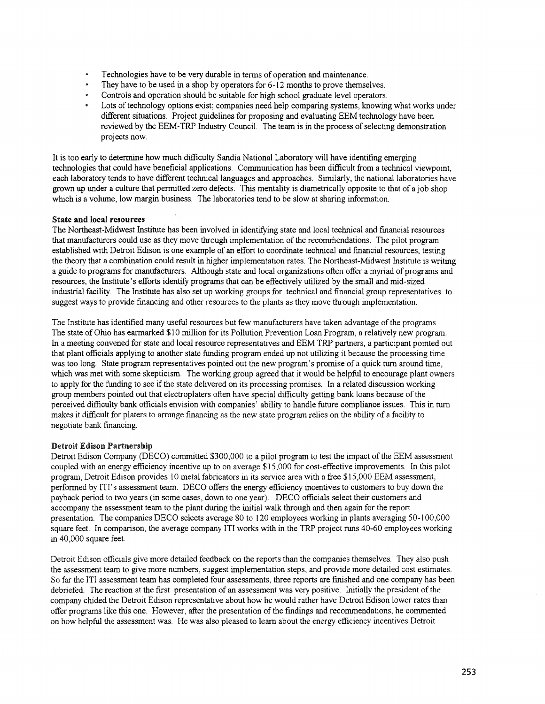- Technologies have to be very durable in tenns of operation and maintenance.
- They have to be used in a shop by operators for 6-12 months to prove themselves.
- Controls and operation should be suitable for high school graduate level operators.
- Lots of technology options exist; companies need help comparing systems, knowing what works under different situations. Project guidelines for proposing and evaluating EEM technology have been reviewed by the EEM-TRP Industry Council. The team is in the process ofselecting demonstration projects nOw.

It is too early to detennine how much difficulty Sandia National Laboratory will have identifing emerging technologies that could have beneficial applications. Communication has been difficult from a technical viewpoint, each laboratory tends to have different technical languages and approaches. Similarly, the national laboratories have grown up under a culture that permitted zero defects. This mentality is diametrically opposite to that of a job shop which is a volume, low margin business. The laboratories tend to be slow at sharing information.

## State and local resources

The Northeast-Midwest Institute has been involved in identifying state and local technical and fmancial resources that manufacturers could use as they move through implementation of the recommendations. The pilot program established with Detroit Edison is one example of an effort to coordinate technical and fmancial resources, testing the theory that a combination could result in higher implementation rates. The Northeast-Midwest Institute is writing a guide to programs for manufacturers. Although state and local organizations often offer a myriad of programs and resources, the Institute's efforts identify programs that can be effectively utilized by the small and mid-sized industrial facility. The Institute has also set up working groups for technical and fmancial group representatives to suggest ways to provide fmancing and other resources to the plants as they move through implementation.

The Institute has identified many useful resources but few manufacturers have taken advantage ofthe programs. The state of Ohio has earmarked \$10 million for its Pollution Prevention Loan Program, a relatively new program. In a meeting convened for state and local resource representatives and EEM TRP partners, a participant pointed out that plant officials applying to another state funding program ended up not utilizing it because the processing time was too long. State program representatives pointed out the new program's promise of a quick turn around time, which was met with some skepticism. The working group agreed that it would be helpful to encourage plant owners to apply for the funding to see ifthe state delivered on its processing promises. In a related discussion working group members pointed out that electroplaters often have special difficulty getting bank loans because of the perceived difficulty bank officials envision with companies' ability to handle future compliance issues. This in turn makes it difficult for platers to arrange fmancing as the new state program relies on the ability of a facility to negotiate bank fmancing.

## Detroit Edison Partnersbip

Detroit Edison Company (DECO) committed \$300,000 to a pilot program to test the impact of the EEM assessment coupled with an energy efficiency incentive up to on average \$15,000 for cost-effective improvements. In this pilot program, Detroit Edison provides 10 metal fabricators in its service area with a free \$15,000 EEM assessment, performed by ITI's assessment team. DECO offers the energy efficiency incentives to customers to buy down the payback period to two years (in some cases, down to one year). DECO officials select their customers and accompany the assessment team to the plant during the initial walk through and then again for the report presentation. The companies DECO selects average 80 to 120 employees working in plants averaging 50-100,000 square feet. In comparison, the average company ITI works with in the TRP project runs 40-60 employees working in 40,000 square feet.

Detroit Edison officials give more detailed feedback on the reports than the companies themselves. They also push the assessment team to give more numbers, suggest implementation steps, and provide more detailed cost estimates. So far the ITI assessment team has completed four assessments, three reports are finished and one company has been debriefed. The reaction at the first presentation of an assessment was very positive. Initially the president of the company chided the Detroit Edison representative about how he would rather have Detroit Edison lower rates than offer programs like this one. However, after the presentation ofthe findings and recommendations, he commented on how helpful the assessment was. He was also pleased to learn about the energy efficiency incentives Detroit